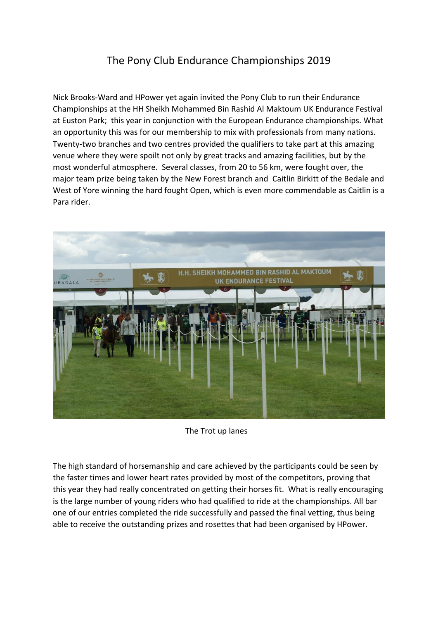## The Pony Club Endurance Championships 2019

Nick Brooks-Ward and HPower yet again invited the Pony Club to run their Endurance Championships at the HH Sheikh Mohammed Bin Rashid Al Maktoum UK Endurance Festival at Euston Park; this year in conjunction with the European Endurance championships. What an opportunity this was for our membership to mix with professionals from many nations. Twenty-two branches and two centres provided the qualifiers to take part at this amazing venue where they were spoilt not only by great tracks and amazing facilities, but by the most wonderful atmosphere. Several classes, from 20 to 56 km, were fought over, the major team prize being taken by the New Forest branch and Caitlin Birkitt of the Bedale and West of Yore winning the hard fought Open, which is even more commendable as Caitlin is a Para rider.



The Trot up lanes

The high standard of horsemanship and care achieved by the participants could be seen by the faster times and lower heart rates provided by most of the competitors, proving that this year they had really concentrated on getting their horses fit. What is really encouraging is the large number of young riders who had qualified to ride at the championships. All bar one of our entries completed the ride successfully and passed the final vetting, thus being able to receive the outstanding prizes and rosettes that had been organised by HPower.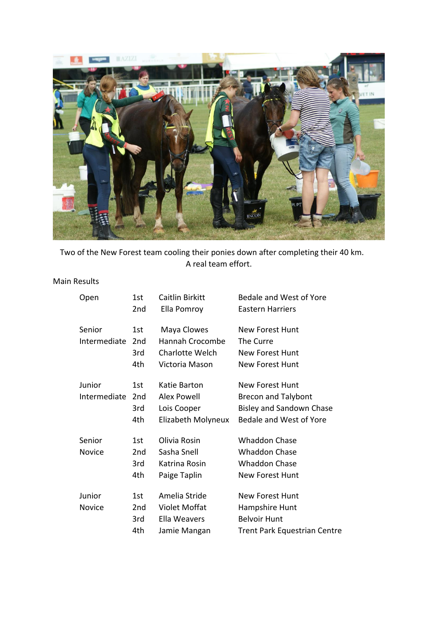

Two of the New Forest team cooling their ponies down after completing their 40 km. A real team effort.

## Main Results

| Open         | 1st             | Caitlin Birkitt      | Bedale and West of Yore             |
|--------------|-----------------|----------------------|-------------------------------------|
|              | 2nd             | Ella Pomroy          | Eastern Harriers                    |
| Senior       | 1st             | Maya Clowes          | New Forest Hunt                     |
| Intermediate | 2 <sub>nd</sub> | Hannah Crocombe      | The Curre                           |
|              | 3rd             | Charlotte Welch      | New Forest Hunt                     |
|              | 4th             | Victoria Mason       | New Forest Hunt                     |
| Junior       | 1st             | Katie Barton         | <b>New Forest Hunt</b>              |
| Intermediate | 2 <sub>nd</sub> | <b>Alex Powell</b>   | <b>Brecon and Talybont</b>          |
|              | 3rd             | Lois Cooper          | <b>Bisley and Sandown Chase</b>     |
|              | 4th             | Elizabeth Molyneux   | Bedale and West of Yore             |
| Senior       | 1st             | Olivia Rosin         | <b>Whaddon Chase</b>                |
| Novice       | 2 <sub>nd</sub> | Sasha Snell          | <b>Whaddon Chase</b>                |
|              | 3rd             | Katrina Rosin        | <b>Whaddon Chase</b>                |
|              | 4th             | Paige Taplin         | <b>New Forest Hunt</b>              |
| Junior       | 1st             | Amelia Stride        | <b>New Forest Hunt</b>              |
| Novice       | 2nd             | <b>Violet Moffat</b> | Hampshire Hunt                      |
|              | 3rd             | Ella Weavers         | <b>Belvoir Hunt</b>                 |
|              | 4th             | Jamie Mangan         | <b>Trent Park Equestrian Centre</b> |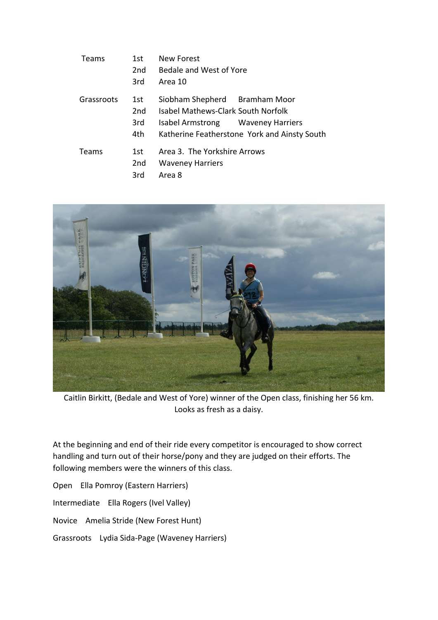| Teams      | 1st.<br>2 <sub>nd</sub><br>3rd        | New Forest<br>Bedale and West of Yore<br>Area 10                                                         |                                              |
|------------|---------------------------------------|----------------------------------------------------------------------------------------------------------|----------------------------------------------|
| Grassroots | 1st.<br>2 <sub>nd</sub><br>3rd<br>4th | Siobham Shepherd Bramham Moor<br>Isabel Mathews-Clark South Norfolk<br>Isabel Armstrong Waveney Harriers | Katherine Featherstone York and Ainsty South |
| Teams      | 1st<br>2 <sub>nd</sub><br>3rd         | Area 3. The Yorkshire Arrows<br><b>Waveney Harriers</b><br>Area 8                                        |                                              |



Caitlin Birkitt, (Bedale and West of Yore) winner of the Open class, finishing her 56 km. Looks as fresh as a daisy.

At the beginning and end of their ride every competitor is encouraged to show correct handling and turn out of their horse/pony and they are judged on their efforts. The following members were the winners of this class.

Open Ella Pomroy (Eastern Harriers) Intermediate Ella Rogers (Ivel Valley) Novice Amelia Stride (New Forest Hunt)

Grassroots Lydia Sida-Page (Waveney Harriers)